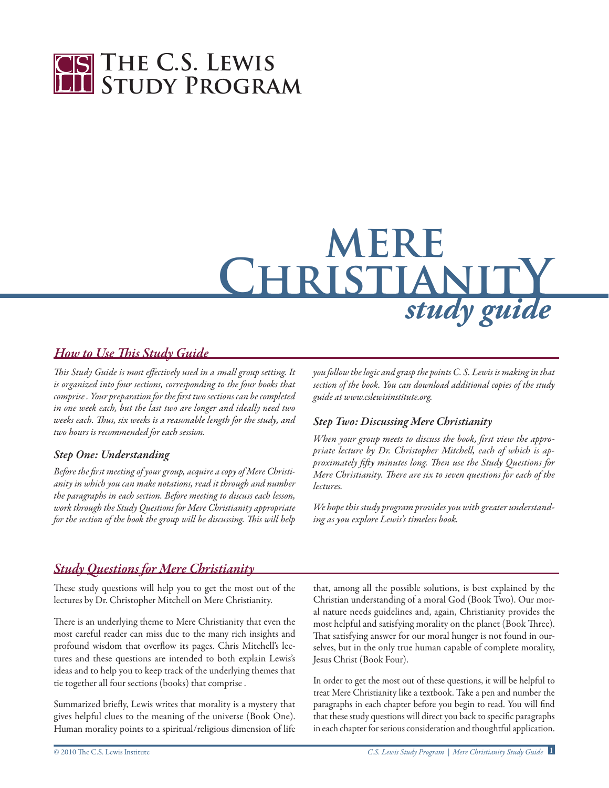

# **mere ChristianitY** *study guide*

#### *How to Use This Study Guide*

*This Study Guide is most effectively used in a small group setting. It is organized into four sections, corresponding to the four books that comprise. Your preparation forthe first two sections can becompleted in one week each, but the last two are longer and ideally need two weeks each. Thus, six weeks is a reasonable length for the study, and two hours is recommended for each session.*

#### *Step One: Understanding*

*Before the first meeting ofyourgroup, acquire a copy of Mere Christianity in which you can make notations, read it through and number the paragraphs in each section. Before meeting to discuss each lesson, work through the Study Questions for Mere Christianity appropriate for the section of the book the group will be discussing. This will help* *you follow thelogic and grasp the points C. S. Lewis is makingin that section of the book. You can download additional copies of the study guide at www.cslewisinstitute.org.*

#### *Step Two: Discussing Mere Christianity*

*When your group meets to discuss the book, first view the appropriate lecture by Dr. Christopher Mitchell, each of which is approximately fifty minutes long. Then use the Study Questions for Mere Christianity. There are six to seven questions for each of the lectures.*

*We* hope this study program provides you with greater understand*ing as you explore Lewis's timeless book.*

#### *Study Questions for Mere Christianity*

These study questions will help you to get the most out of the lectures by Dr. Christopher Mitchell on Mere Christianity.

There is an underlying theme to Mere Christianity that even the most careful reader can miss due to the many rich insights and profound wisdom that overflow its pages. Chris Mitchell's lectures and these questions are intended to both explain Lewis's ideas and to help you to keep track of the underlying themes that tie together all four sections (books) that comprise .

Summarized briefly, Lewis writes that morality is a mystery that gives helpful clues to the meaning of the universe (Book One). Human morality points to a spiritual/religious dimension of life

that, among all the possible solutions, is best explained by the Christian understanding of a moral God (Book Two). Our moral nature needs guidelines and, again, Christianity provides the most helpful and satisfying morality on the planet (Book Three). That satisfying answer for our moral hunger is not found in ourselves, but in the only true human capable of complete morality, Jesus Christ (Book Four).

In order to get the most out of these questions, it will be helpful to treat Mere Christianity like a textbook. Take a pen and number the paragraphs in each chapter before you begin to read. You will find that these study questions will direct you back to specific paragraphs in each chapter for serious consideration and thoughtful application.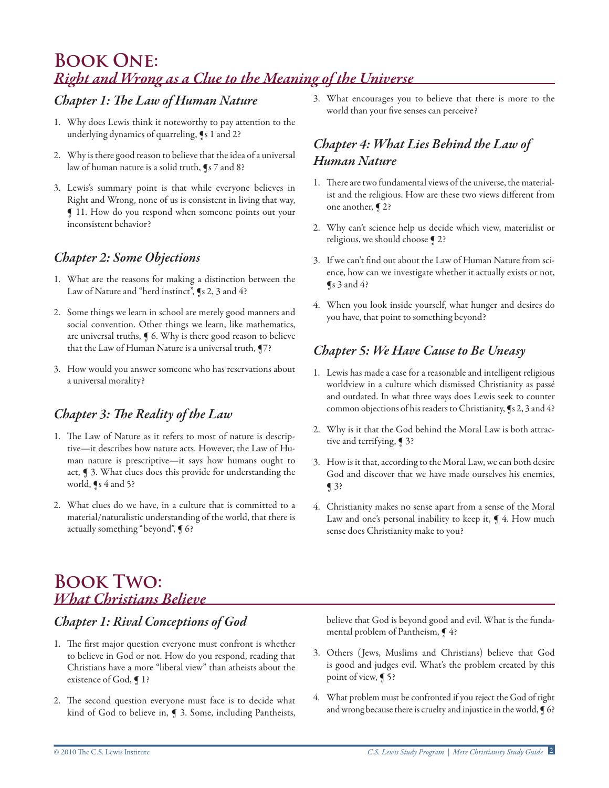# **Book One:**  *Right and Wrong as a Clue to the Meaning of the Universe*

### *Chapter 1: The Law of Human Nature*

- 1. Why does Lewis think it noteworthy to pay attention to the underlying dynamics of quarreling, ¶s 1 and 2?
- 2. Why is there good reason to believe that the idea of a universal law of human nature is a solid truth, ¶s 7 and 8?
- 3. Lewis's summary point is that while everyone believes in Right and Wrong, none of us is consistent in living that way, ¶ 11. How do you respond when someone points out your inconsistent behavior?

#### *Chapter 2: Some Objections*

- 1. What are the reasons for making a distinction between the Law of Nature and "herd instinct", (s 2, 3 and 4?
- 2. Some things we learn in school are merely good manners and social convention. Other things we learn, like mathematics, are universal truths, ¶ 6. Why is there good reason to believe that the Law of Human Nature is a universal truth, ¶7?
- 3. How would you answer someone who has reservations about a universal morality?

## *Chapter 3: The Reality of the Law*

- 1. The Law of Nature as it refers to most of nature is descriptive—it describes how nature acts. However, the Law of Human nature is prescriptive—it says how humans ought to act, ¶ 3. What clues does this provide for understanding the world,  $\P$ s 4 and 5?
- 2. What clues do we have, in a culture that is committed to a material/naturalistic understanding of the world, that there is actually something "beyond", § 6?

3. What encourages you to believe that there is more to the world than your five senses can perceive?

## *Chapter 4: What Lies Behind the Law of Human Nature*

- 1. There are two fundamental views of the universe, the materialist and the religious. How are these two views different from one another, ¶ 2?
- 2. Why can't science help us decide which view, materialist or religious, we should choose  $\bigcirc$  2?
- 3. If we can't find out about the Law of Human Nature from science, how can we investigate whether it actually exists or not,  $\blacktriangleleft$  s 3 and 4?
- 4. When you look inside yourself, what hunger and desires do you have, that point to something beyond?

## *Chapter 5: We Have Cause to Be Uneasy*

- 1. Lewis has made a case for a reasonable and intelligent religious worldview in a culture which dismissed Christianity as passé and outdated. In what three ways does Lewis seek to counter common objections of his readers to Christianity, ¶s 2, 3 and 4?
- 2. Why is it that the God behind the Moral Law is both attractive and terrifying, ¶ 3?
- 3. How is it that, according to the Moral Law, we can both desire God and discover that we have made ourselves his enemies, ¶ 3?
- 4. Christianity makes no sense apart from a sense of the Moral Law and one's personal inability to keep it,  $\P$  4. How much sense does Christianity make to you?

# **Book Two:**  *What Christians Believe*

## *Chapter 1: Rival Conceptions of God*

- 1. The first major question everyone must confront is whether to believe in God or not. How do you respond, reading that Christians have a more "liberal view" than atheists about the existence of God, ¶ 1?
- 2. The second question everyone must face is to decide what kind of God to believe in, ¶ 3. Some, including Pantheists,

believe that God is beyond good and evil. What is the fundamental problem of Pantheism,  $\P$ 4?

- 3. Others ( Jews, Muslims and Christians) believe that God is good and judges evil. What's the problem created by this point of view, ¶ 5?
- 4. What problem must be confronted if you reject the God of right and wrong because there is cruelty and injustice in the world,  $\int$  6?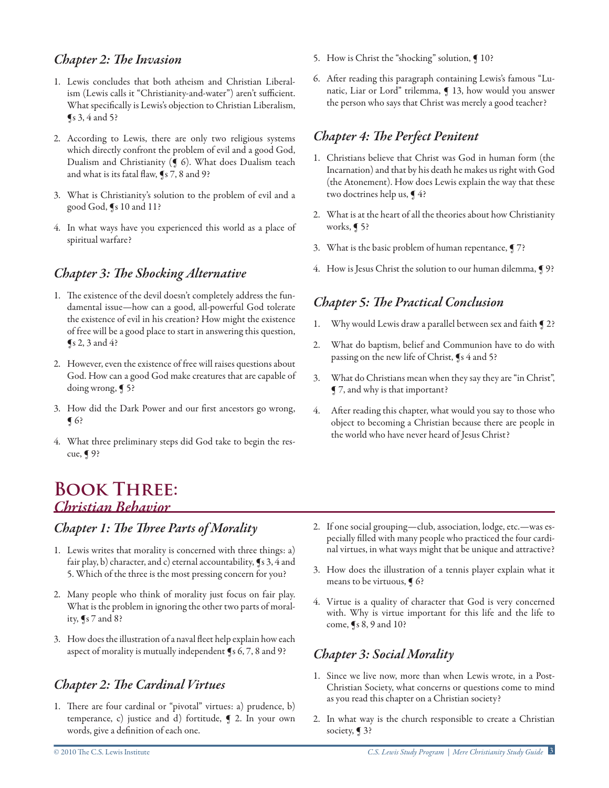#### *Chapter 2: The Invasion*

- 1. Lewis concludes that both atheism and Christian Liberalism (Lewis calls it "Christianity-and-water") aren't sufficient. What specifically is Lewis's objection to Christian Liberalism,  $\sqrt{\ }$ s 3, 4 and 5?
- 2. According to Lewis, there are only two religious systems which directly confront the problem of evil and a good God, Dualism and Christianity (¶ 6). What does Dualism teach and what is its fatal flaw, ¶s 7, 8 and 9?
- 3. What is Christianity's solution to the problem of evil and a good God, ¶s 10 and 11?
- 4. In what ways have you experienced this world as a place of spiritual warfare?

#### *Chapter 3: The Shocking Alternative*

- 1. The existence of the devil doesn't completely address the fundamental issue—how can a good, all-powerful God tolerate the existence of evil in his creation? How might the existence of free will be a good place to start in answering this question,  $\sqrt{\$s\,2,3\}$  and 4?
- 2. However, even the existence of free will raises questions about God. How can a good God make creatures that are capable of doing wrong, ¶ 5?
- 3. How did the Dark Power and our first ancestors go wrong,  $\bigcap$  6?
- 4. What three preliminary steps did God take to begin the rescue, ¶ 9?

## **Book Three:**  *Christian Behavior*

#### *Chapter 1: The Three Parts of Morality*

- 1. Lewis writes that morality is concerned with three things: a) fair play, b) character, and c) eternal accountability, ¶s 3, 4 and 5. Which of the three is the most pressing concern for you?
- 2. Many people who think of morality just focus on fair play. What is the problem in ignoring the other two parts of morality, ¶s 7 and 8?
- 3. How does the illustration of a naval fleet help explain how each aspect of morality is mutually independent ¶s 6, 7, 8 and 9?

## *Chapter 2: The Cardinal Virtues*

1. There are four cardinal or "pivotal" virtues: a) prudence, b) temperance, c) justice and d) fortitude, ¶ 2. In your own words, give a definition of each one.

- 5. How is Christ the "shocking" solution,  $\int$  10?
- 6. After reading this paragraph containing Lewis's famous "Lunatic, Liar or Lord" trilemma, ¶ 13, how would you answer the person who says that Christ was merely a good teacher?

## *Chapter 4: The Perfect Penitent*

- 1. Christians believe that Christ was God in human form (the Incarnation) and that by his death he makes us right with God (the Atonement). How does Lewis explain the way that these two doctrines help us,  $\P$ 4?
- 2. What is at the heart of all the theories about how Christianity works, ¶ 5?
- 3. What is the basic problem of human repentance, ¶ 7?
- 4. How is Jesus Christ the solution to our human dilemma, 9 ??

### *Chapter 5: The Practical Conclusion*

- 1. Why would Lewis draw a parallel between sex and faith  $\P$  2?
- 2. What do baptism, belief and Communion have to do with passing on the new life of Christ, ¶s 4 and 5?
- 3. What do Christians mean when they say they are "in Christ", ¶ 7, and why is that important?
- 4. After reading this chapter, what would you say to those who object to becoming a Christian because there are people in the world who have never heard of Jesus Christ?

- 2. If one social grouping—club, association, lodge, etc.—was especially filled with many people who practiced the four cardinal virtues, in what ways might that be unique and attractive?
- 3. How does the illustration of a tennis player explain what it means to be virtuous, ¶ 6?
- 4. Virtue is a quality of character that God is very concerned with. Why is virtue important for this life and the life to come, ¶s 8, 9 and 10?

#### *Chapter 3: Social Morality*

- 1. Since we live now, more than when Lewis wrote, in a Post-Christian Society, what concerns or questions come to mind as you read this chapter on a Christian society?
- 2. In what way is the church responsible to create a Christian society, ¶ 3?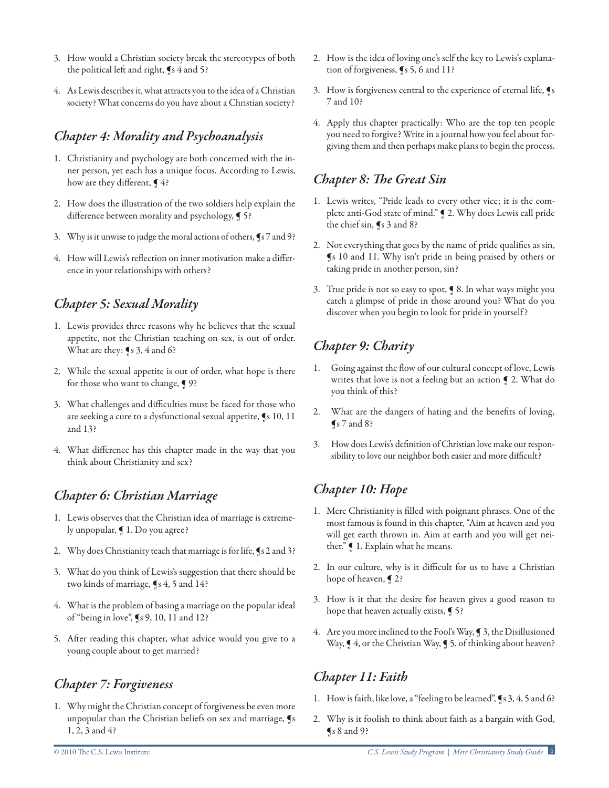- 3. How would a Christian society break the stereotypes of both the political left and right, ¶s 4 and 5?
- 4. As Lewis describes it, what attracts you to the idea of a Christian society? What concerns do you have about a Christian society?

#### *Chapter 4: Morality and Psychoanalysis*

- 1. Christianity and psychology are both concerned with the inner person, yet each has a unique focus. According to Lewis, how are they different,  $\P$ 4?
- 2. How does the illustration of the two soldiers help explain the difference between morality and psychology, **[**5?
- 3. Why is it unwise to judge the moral actions of others, ¶s 7 and 9?
- 4. How will Lewis's reflection on inner motivation make a difference in your relationships with others?

## *Chapter 5: Sexual Morality*

- 1. Lewis provides three reasons why he believes that the sexual appetite, not the Christian teaching on sex, is out of order. What are they: ¶s 3, 4 and 6?
- 2. While the sexual appetite is out of order, what hope is there for those who want to change, ¶ 9?
- 3. What challenges and difficulties must be faced for those who are seeking a cure to a dysfunctional sexual appetite, ¶s 10, 11 and 13?
- 4. What difference has this chapter made in the way that you think about Christianity and sex?

### *Chapter 6: Christian Marriage*

- 1. Lewis observes that the Christian idea of marriage is extremely unpopular, ¶ 1. Do you agree?
- 2. Why does Christianity teach that marriage is for life, ¶s 2 and 3?
- 3. What do you think of Lewis's suggestion that there should be two kinds of marriage, ¶s 4, 5 and 14?
- 4. What is the problem of basing a marriage on the popular ideal of "being in love", ¶s 9, 10, 11 and 12?
- 5. After reading this chapter, what advice would you give to a young couple about to get married?

#### *Chapter 7: Forgiveness*

1. Why might the Christian concept of forgiveness be even more unpopular than the Christian beliefs on sex and marriage, ¶s 1, 2, 3 and 4?

- 2. How is the idea of loving one's self the key to Lewis's explanation of forgiveness, ¶s 5, 6 and 11?
- 3. How is forgiveness central to the experience of eternal life, ¶s 7 and 10?
- 4. Apply this chapter practically: Who are the top ten people you need to forgive? Write in a journal how you feel about forgiving them and then perhaps make plans to begin the process.

#### *Chapter 8: The Great Sin*

- 1. Lewis writes, "Pride leads to every other vice; it is the complete anti-God state of mind." ¶ 2. Why does Lewis call pride the chief sin, ¶s 3 and 8?
- 2. Not everything that goes by the name of pride qualifies as sin, ¶s 10 and 11. Why isn't pride in being praised by others or taking pride in another person, sin?
- 3. True pride is not so easy to spot, ¶ 8. In what ways might you catch a glimpse of pride in those around you? What do you discover when you begin to look for pride in yourself ?

## *Chapter 9: Charity*

- 1. Going against the flow of our cultural concept of love, Lewis writes that love is not a feeling but an action ¶ 2. What do you think of this?
- 2. What are the dangers of hating and the benefits of loving,  $\sqrt{\ }$ s 7 and 8?
- 3. How does Lewis's definition of Christian love make our responsibility to love our neighbor both easier and more difficult?

### *Chapter 10: Hope*

- 1. Mere Christianity is filled with poignant phrases. One of the most famous is found in this chapter, "Aim at heaven and you will get earth thrown in. Aim at earth and you will get neither." ¶ 1. Explain what he means.
- 2. In our culture, why is it difficult for us to have a Christian hope of heaven, ¶ 2?
- 3. How is it that the desire for heaven gives a good reason to hope that heaven actually exists, **[** 5?
- 4. Are you more inclined to the Fool's Way, ¶ 3, the Disillusioned Way,  $\P$  4, or the Christian Way,  $\P$  5, of thinking about heaven?

### *Chapter 11: Faith*

- 1. How is faith, like love, a "feeling to be learned", ¶s 3, 4, 5 and 6?
- 2. Why is it foolish to think about faith as a bargain with God,  $\sqrt{8}$  8 and 9?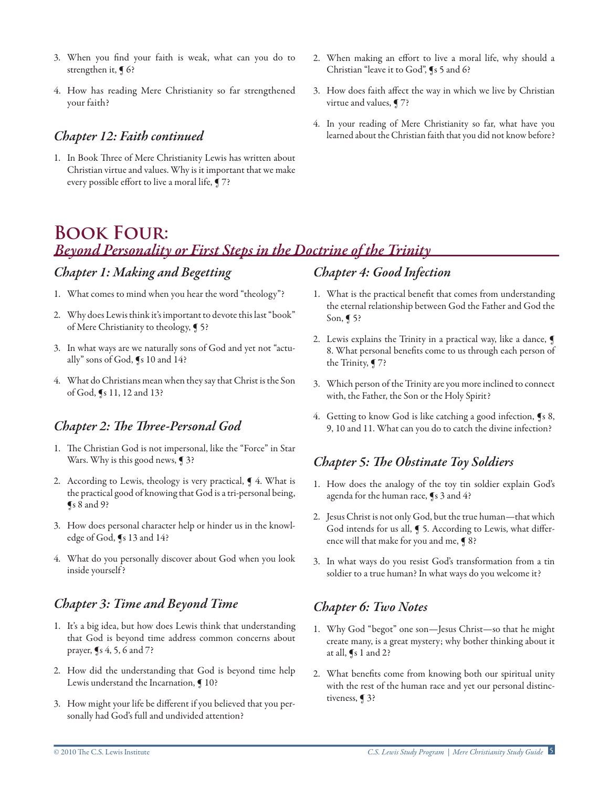- 3. When you find your faith is weak, what can you do to strengthen it,  $\P$  6?
- 4. How has reading Mere Christianity so far strengthened your faith?

#### *Chapter 12: Faith continued*

- 1. In Book Three of Mere Christianity Lewis has written about Christian virtue and values. Why is it important that we make every possible effort to live a moral life, ¶ 7?
- 2. When making an effort to live a moral life, why should a Christian "leave it to God", ¶s 5 and 6?
- 3. How does faith affect the way in which we live by Christian virtue and values, ¶ 7?
- 4. In your reading of Mere Christianity so far, what have you learned about the Christian faith that you did not know before?

# **Book Four:**  *Beyond Personality or First Steps in the Doctrine of the Trinity*

#### *Chapter 1: Making and Begetting*

- 1. What comes to mind when you hear the word "theology"?
- 2. Why does Lewis think it's important to devote this last "book" of Mere Christianity to theology, ¶ 5?
- 3. In what ways are we naturally sons of God and yet not "actually" sons of God, ¶s 10 and 14?
- 4. What do Christians mean when they say that Christ is the Son of God, ¶s 11, 12 and 13?

### *Chapter 2: The Three-Personal God*

- 1. The Christian God is not impersonal, like the "Force" in Star Wars. Why is this good news, **[**3?
- 2. According to Lewis, theology is very practical,  $\P$  4. What is the practical good of knowing that God is a tri-personal being,  $\sqrt{\ }$ s 8 and 9?
- 3. How does personal character help or hinder us in the knowledge of God, ¶s 13 and 14?
- 4. What do you personally discover about God when you look inside yourself ?

### *Chapter 3: Time and Beyond Time*

- 1. It's a big idea, but how does Lewis think that understanding that God is beyond time address common concerns about prayer, ¶s 4, 5, 6 and 7?
- 2. How did the understanding that God is beyond time help Lewis understand the Incarnation,  $\int$  10?
- 3. How might your life be different if you believed that you personally had God's full and undivided attention?

## *Chapter 4: Good Infection*

- 1. What is the practical benefit that comes from understanding the eternal relationship between God the Father and God the Son, ¶ 5?
- 2. Lewis explains the Trinity in a practical way, like a dance, 8. What personal benefits come to us through each person of the Trinity, ¶ 7?
- 3. Which person of the Trinity are you more inclined to connect with, the Father, the Son or the Holy Spirit?
- 4. Getting to know God is like catching a good infection, ¶s 8, 9, 10 and 11. What can you do to catch the divine infection?

### *Chapter 5: The Obstinate Toy Soldiers*

- 1. How does the analogy of the toy tin soldier explain God's agenda for the human race, ¶s 3 and 4?
- 2. Jesus Christ is not only God, but the true human—that which God intends for us all, ¶ 5. According to Lewis, what difference will that make for you and me, ¶ 8?
- 3. In what ways do you resist God's transformation from a tin soldier to a true human? In what ways do you welcome it?

### *Chapter 6: Two Notes*

- 1. Why God "begot" one son—Jesus Christ—so that he might create many, is a great mystery; why bother thinking about it at all, ¶s 1 and 2?
- 2. What benefits come from knowing both our spiritual unity with the rest of the human race and yet our personal distinctiveness, ¶ 3?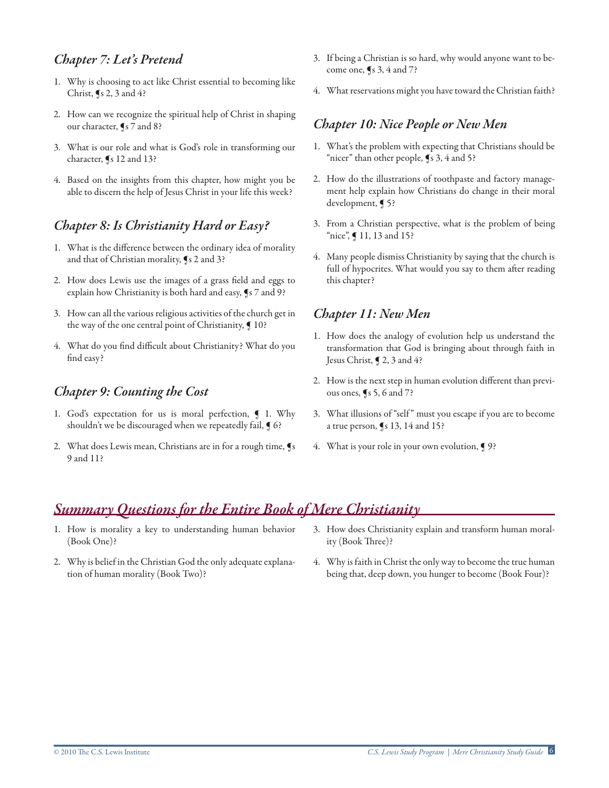#### *Chapter 7: Let's Pretend*

- 1. Why is choosing to act like Christ essential to becoming like Christ,  $\int$ s 2, 3 and 4?
- 2. How can we recognize the spiritual help of Christ in shaping our character, ¶s 7 and 8?
- 3. What is our role and what is God's role in transforming our character, ¶s 12 and 13?
- 4. Based on the insights from this chapter, how might you be able to discern the help of Jesus Christ in your life this week?

### *Chapter 8: Is Christianity Hard or Easy?*

- 1. What is the difference between the ordinary idea of morality and that of Christian morality, ¶s 2 and 3?
- 2. How does Lewis use the images of a grass field and eggs to explain how Christianity is both hard and easy, ¶s 7 and 9?
- 3. How can all the various religious activities of the church get in the way of the one central point of Christianity,  $\P$  10?
- 4. What do you find difficult about Christianity? What do you find easy?

#### *Chapter 9: Counting the Cost*

- 1. God's expectation for us is moral perfection,  $\blacksquare$  1. Why shouldn't we be discouraged when we repeatedly fail,  $\P$  6?
- 2. What does Lewis mean, Christians are in for a rough time, ¶s 9 and 11?
- 3. If being a Christian is so hard, why would anyone want to become one, ¶s 3, 4 and 7?
- 4. What reservations might you have toward the Christian faith?

#### *Chapter 10: Nice People or New Men*

- 1. What's the problem with expecting that Christians should be "nicer" than other people, ¶s 3, 4 and 5?
- 2. How do the illustrations of toothpaste and factory management help explain how Christians do change in their moral development, ¶ 5?
- 3. From a Christian perspective, what is the problem of being "nice", ¶ 11, 13 and 15?
- 4. Many people dismiss Christianity by saying that the church is full of hypocrites. What would you say to them after reading this chapter?

## *Chapter 11: New Men*

- 1. How does the analogy of evolution help us understand the transformation that God is bringing about through faith in Jesus Christ, ¶ 2, 3 and 4?
- 2. How is the next step in human evolution different than previous ones, ¶s 5, 6 and 7?
- 3. What illusions of "self " must you escape if you are to become a true person, ¶s 13, 14 and 15?
- 4. What is your role in your own evolution,  $\lceil 9 \rceil$

## *Summary Questions for the Entire Book of Mere Christianity*

- 1. How is morality a key to understanding human behavior (Book One)?
- 2. Why is belief in the Christian God the only adequate explanation of human morality (Book Two)?
- 3. How does Christianity explain and transform human morality (Book Three)?
- 4. Why is faith in Christ the only way to become the true human being that, deep down, you hunger to become (Book Four)?